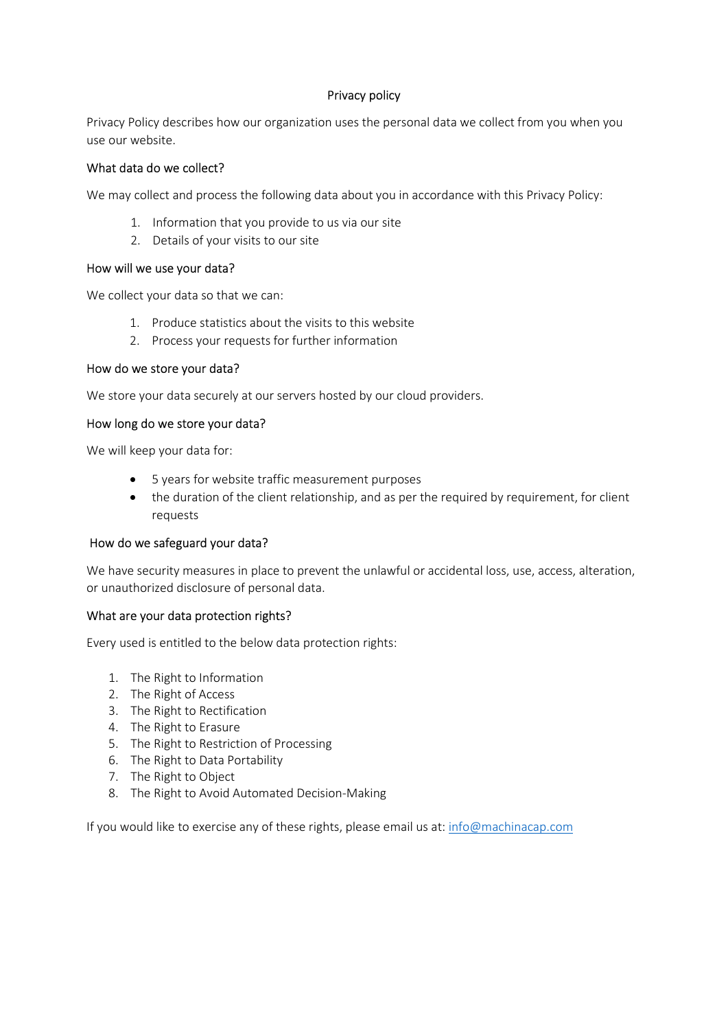# Privacy policy

Privacy Policy describes how our organization uses the personal data we collect from you when you use our website.

## What data do we collect?

We may collect and process the following data about you in accordance with this Privacy Policy:

- 1. Information that you provide to us via our site
- 2. Details of your visits to our site

## How will we use your data?

We collect your data so that we can:

- 1. Produce statistics about the visits to this website
- 2. Process your requests for further information

# How do we store your data?

We store your data securely at our servers hosted by our cloud providers.

## How long do we store your data?

We will keep your data for:

- 5 years for website traffic measurement purposes
- the duration of the client relationship, and as per the required by requirement, for client requests

### How do we safeguard your data?

We have security measures in place to prevent the unlawful or accidental loss, use, access, alteration, or unauthorized disclosure of personal data.

### What are your data protection rights?

Every used is entitled to the below data protection rights:

- 1. The Right to Information
- 2. The Right of Access
- 3. The Right to Rectification
- 4. The Right to Erasure
- 5. The Right to Restriction of Processing
- 6. The Right to Data Portability
- 7. The Right to Object
- 8. The Right to Avoid Automated Decision-Making

If you would like to exercise any of these rights, please email us at: info@machinacap.com